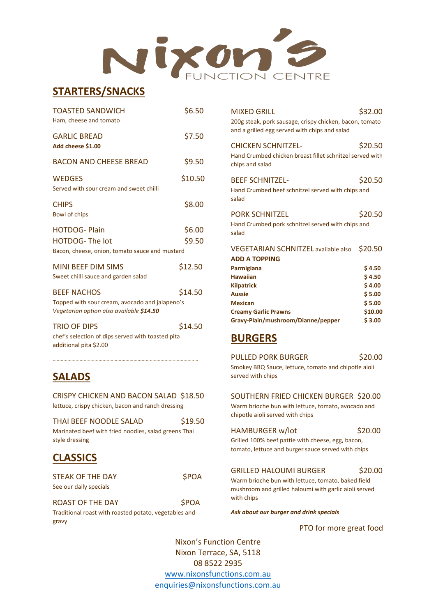

# **STARTERS/SNACKS**

| <b>TOASTED SANDWICH</b><br>Ham, cheese and tomato                                                                | \$6.50           |
|------------------------------------------------------------------------------------------------------------------|------------------|
| <b>GARLIC BREAD</b><br>Add cheese \$1.00                                                                         | \$7.50           |
| <b>BACON AND CHEESE BREAD</b>                                                                                    | \$9.50           |
| <b>WEDGES</b><br>Served with sour cream and sweet chilli                                                         | \$10.50          |
| <b>CHIPS</b><br>Bowl of chips                                                                                    | \$8.00           |
| <b>HOTDOG-Plain</b><br><b>HOTDOG-The lot</b><br>Bacon, cheese, onion, tomato sauce and mustard                   | \$6.00<br>\$9.50 |
| <b>MINI BEEF DIM SIMS</b><br>Sweet chilli sauce and garden salad                                                 | \$12.50          |
| <b>BEEF NACHOS</b><br>Topped with sour cream, avocado and jalapeno's<br>Vegetarian option also available \$14.50 | \$14.50          |
| <b>TRIO OF DIPS</b><br>chef's selection of dips served with toasted pita<br>additional pita \$2.00               | \$14.50          |

# **SALADS**

| CRISPY CHICKEN AND BACON SALAD \$18.50<br>lettuce, crispy chicken, bacon and ranch dressing      |             |
|--------------------------------------------------------------------------------------------------|-------------|
| THAI BEEF NOODLE SALAD<br>Marinated beef with fried noodles, salad greens Thai<br>style dressing | \$19.50     |
| <b>CLASSICS</b>                                                                                  |             |
| <b>STEAK OF THE DAY</b><br>See our daily specials                                                | <b>SPOA</b> |
| <b>ROAST OF THE DAY</b>                                                                          |             |

………………………………………………………………………………………………

Traditional roast with roasted potato, vegetables and gravy

| <b>MIXED GRILL</b>                                                                                       | \$32.00           |
|----------------------------------------------------------------------------------------------------------|-------------------|
| 200g steak, pork sausage, crispy chicken, bacon, tomato<br>and a grilled egg served with chips and salad |                   |
| <b>CHICKEN SCHNITZEL-</b>                                                                                | \$20.50           |
| Hand Crumbed chicken breast fillet schnitzel served with<br>chips and salad                              |                   |
| <b>BEEF SCHNITZEL-</b>                                                                                   | \$20.50           |
| Hand Crumbed beef schnitzel served with chips and<br>salad                                               |                   |
| <b>PORK SCHNITZEL</b>                                                                                    | \$20.50           |
| Hand Crumbed pork schnitzel served with chips and<br>salad                                               |                   |
| VEGETARIAN SCHNITZEL available also \$20.50                                                              |                   |
| <b>ADD A TOPPING</b>                                                                                     |                   |
| Parmigiana                                                                                               | \$4.50            |
| <b>Hawaiian</b>                                                                                          | \$4.50            |
| <b>Kilpatrick</b>                                                                                        | \$4.00            |
| <b>Aussie</b>                                                                                            | \$5.00            |
| <b>Mexican</b><br><b>Creamy Garlic Prawns</b>                                                            | \$5.00<br>\$10.00 |
| Gravy-Plain/mushroom/Dianne/pepper                                                                       | \$3.00            |
|                                                                                                          |                   |

# **BURGERS**

| <b>PULLED PORK BURGER</b>                            | \$20.00 |
|------------------------------------------------------|---------|
| Smokey BBQ Sauce, lettuce, tomato and chipotle aioli |         |
| served with chips                                    |         |

### SOUTHERN FRIED CHICKEN BURGER \$20.00

Warm brioche bun with lettuce, tomato, avocado and chipotle aioli served with chips

### HAMBURGER w/lot \$20.00

Grilled 100% beef pattie with cheese, egg, bacon, tomato, lettuce and burger sauce served with chips

### GRILLED HALOUMI BURGER \$20.00

Warm brioche bun with lettuce, tomato, baked field mushroom and grilled haloumi with garlic aioli served with chips

*Ask about our burger and drink specials*

PTO for more great food

Nixon's Function Centre Nixon Terrace, SA, 5118 08 8522 2935 [www.nixonsfunctions.com.au](http://www.nixonsfunctions.com.au/) [enquiries@nixonsfunctions.com.au](mailto:enquiries@nixonsfunctions.com.au)